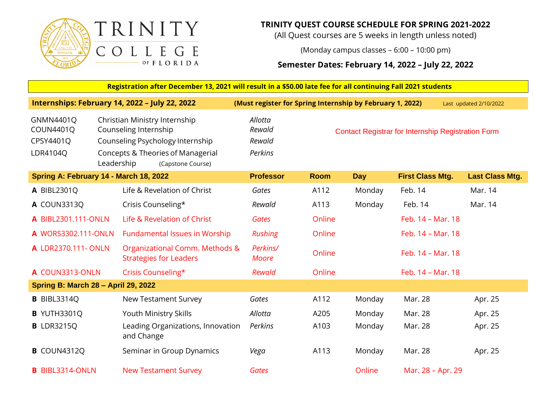

## **TRINITY QUEST COURSE SCHEDULE FOR SPRING 2021-2022**

(All Quest courses are 5 weeks in length unless noted)

(Monday campus classes – 6:00 – 10:00 pm)

## **Semester Dates: February 8, 2021 – July 16, 2021 Semester Dates: February 14, 2022 – July 22, 2022**

| Registration after December 13, 2021 will result in a \$50.00 late fee for all continuing Fall 2021 students |            |                                                                                                                                                      |                                                                                     |                                                           |                   |                         |                        |
|--------------------------------------------------------------------------------------------------------------|------------|------------------------------------------------------------------------------------------------------------------------------------------------------|-------------------------------------------------------------------------------------|-----------------------------------------------------------|-------------------|-------------------------|------------------------|
| Internships: February 14, 2022 - July 22, 2022                                                               |            |                                                                                                                                                      | (Must register for Spring Internship by February 1, 2022)<br>Last updated 2/10/2022 |                                                           |                   |                         |                        |
| GNMN4401Q<br><b>COUN4401Q</b><br>CPSY4401Q<br>LDR4104Q                                                       | Leadership | Christian Ministry Internship<br>Counseling Internship<br>Counseling Psychology Internship<br>Concepts & Theories of Managerial<br>(Capstone Course) | Allotta<br>Rewald<br>Rewald<br>Perkins                                              | <b>Contact Registrar for Internship Registration Form</b> |                   |                         |                        |
| Spring A: February 14 - March 18, 2022                                                                       |            |                                                                                                                                                      | <b>Professor</b>                                                                    | <b>Room</b>                                               | <b>Day</b>        | <b>First Class Mtg.</b> | <b>Last Class Mtg.</b> |
| <b>A BIBL2301Q</b>                                                                                           |            | Life & Revelation of Christ                                                                                                                          | Gates                                                                               | A112                                                      | Monday            | Feb. 14                 | Mar. 14                |
| A COUN3313Q                                                                                                  |            | Crisis Counseling*                                                                                                                                   | Rewald                                                                              | A113                                                      | Monday            | Feb. 14                 | Mar. 14                |
| A BIBL2301.111-ONLN                                                                                          |            | Life & Revelation of Christ                                                                                                                          | Gates                                                                               | Online<br>Feb. 14 - Mar. 18                               |                   |                         |                        |
| A WORS3302.111-ONLN                                                                                          |            | <b>Fundamental Issues in Worship</b>                                                                                                                 | <b>Rushing</b>                                                                      | Online<br>Feb. 14 - Mar. 18                               |                   |                         |                        |
| A LDR2370.111- ONLN                                                                                          |            | Organizational Comm. Methods &<br><b>Strategies for Leaders</b>                                                                                      | Perkins/<br><b>Moore</b>                                                            | Online                                                    |                   | Feb. 14 - Mar. 18       |                        |
| A COUN3313-ONLN                                                                                              |            | Crisis Counseling*                                                                                                                                   | Rewald                                                                              | Online                                                    | Feb. 14 - Mar. 18 |                         |                        |
| <b>Spring B: March 28 - April 29, 2022</b>                                                                   |            |                                                                                                                                                      |                                                                                     |                                                           |                   |                         |                        |
| <b>B</b> BIBL3314Q                                                                                           |            | New Testament Survey                                                                                                                                 | Gates                                                                               | A112                                                      | Monday            | Mar. 28                 | Apr. 25                |
| <b>B</b> YUTH3301Q                                                                                           |            | Youth Ministry Skills                                                                                                                                | Allotta                                                                             | A205                                                      | Monday            | Mar. 28                 | Apr. 25                |
| <b>B</b> LDR3215Q                                                                                            |            | Leading Organizations, Innovation<br>and Change                                                                                                      | Perkins                                                                             | A103                                                      | Monday            | Mar. 28                 | Apr. 25                |
| <b>B</b> COUN4312Q                                                                                           |            | Seminar in Group Dynamics                                                                                                                            | Vega                                                                                | A113                                                      | Monday            | Mar. 28                 | Apr. 25                |
| <b>B</b> BIBL3314-ONLN                                                                                       |            | <b>New Testament Survey</b>                                                                                                                          | <b>Gates</b>                                                                        |                                                           | Online            | Mar. 28 - Apr. 29       |                        |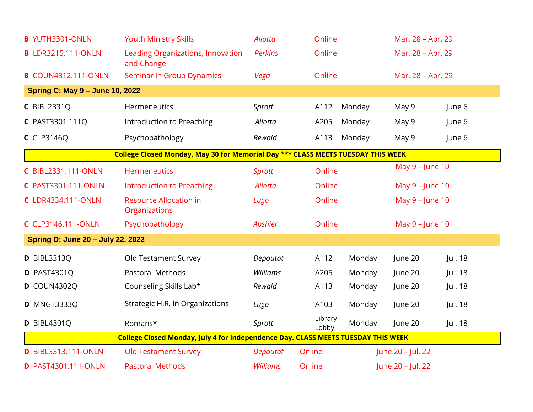| <b>B</b> YUTH3301-ONLN                                                                   | <b>Youth Ministry Skills</b>                    | <b>Allotta</b>  | Online           |        | Mar. 28 - Apr. 29 |         |  |
|------------------------------------------------------------------------------------------|-------------------------------------------------|-----------------|------------------|--------|-------------------|---------|--|
| <b>B</b> LDR3215.111-ONLN                                                                | Leading Organizations, Innovation<br>and Change | <b>Perkins</b>  | Online           |        | Mar. 28 - Apr. 29 |         |  |
| <b>B</b> COUN4312.111-ONLN                                                               | <b>Seminar in Group Dynamics</b>                | Vega            | Online           |        | Mar. 28 - Apr. 29 |         |  |
| <b>Spring C: May 9 - June 10, 2022</b>                                                   |                                                 |                 |                  |        |                   |         |  |
| <b>C</b> BIBL2331Q                                                                       | Hermeneutics                                    | Sprott          | A112             | Monday | May 9             | June 6  |  |
| C PAST3301.111Q                                                                          | Introduction to Preaching                       | Allotta         | A205             | Monday | May 9             | June 6  |  |
| $C$ CLP3146Q                                                                             | Psychopathology                                 | Rewald          | A113             | Monday | May 9             | June 6  |  |
| College Closed Monday, May 30 for Memorial Day *** CLASS MEETS TUESDAY THIS WEEK         |                                                 |                 |                  |        |                   |         |  |
| <b>C</b> BIBL2331.111-ONLN                                                               | <b>Hermeneutics</b>                             | <b>Sprott</b>   | Online           |        | May $9$ – June 10 |         |  |
| C PAST3301.111-ONLN                                                                      | <b>Introduction to Preaching</b>                | <b>Allotta</b>  | Online           |        | May $9$ – June 10 |         |  |
| <b>C</b> LDR4334.111-ONLN                                                                | <b>Resource Allocation in</b><br>Organizations  | Lugo            | Online           |        | May $9$ – June 10 |         |  |
| C CLP3146.111-ONLN                                                                       | Psychopathology                                 | Abshier         | Online           |        | May $9$ – June 10 |         |  |
| Spring D: June 20 - July 22, 2022                                                        |                                                 |                 |                  |        |                   |         |  |
| <b>D</b> BIBL3313Q                                                                       | Old Testament Survey                            | Depoutot        | A112             | Monday | June 20           | Jul. 18 |  |
| <b>D</b> PAST4301Q                                                                       | <b>Pastoral Methods</b>                         | Williams        | A205             | Monday | June 20           | Jul. 18 |  |
| D COUN4302Q                                                                              | Counseling Skills Lab*                          | Rewald          | A113             | Monday | June 20           | Jul. 18 |  |
| <b>D</b> MNGT3333Q                                                                       | Strategic H.R. in Organizations                 | Lugo            | A103             | Monday | June 20           | Jul. 18 |  |
| <b>D</b> BIBL4301Q                                                                       | Romans*                                         | Sprott          | Library<br>Lobby | Monday | June 20           | Jul. 18 |  |
| <b>College Closed Monday, July 4 for Independence Day. CLASS MEETS TUESDAY THIS WEEK</b> |                                                 |                 |                  |        |                   |         |  |
| <b>D</b> BIBL3313.111-ONLN                                                               | <b>Old Testament Survey</b>                     | <b>Depoutot</b> | Online           |        | June 20 - Jul. 22 |         |  |
| <b>D</b> PAST4301.111-ONLN                                                               | <b>Pastoral Methods</b>                         | <b>Williams</b> | Online           |        | June 20 - Jul. 22 |         |  |